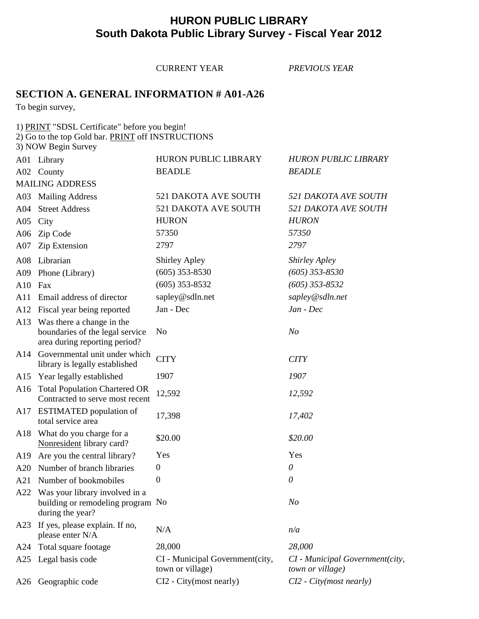## **HURON PUBLIC LIBRARY South Dakota Public Library Survey - Fiscal Year 2012**

CURRENT YEAR *PREVIOUS YEAR* **SECTION A. GENERAL INFORMATION # A01-A26** To begin survey, 1) PRINT "SDSL Certificate" before you begin! 2) Go to the top Gold bar. PRINT off INSTRUCTIONS 3) NOW Begin Survey A01 Library HURON PUBLIC LIBRARY *HURON PUBLIC LIBRARY* A02 County BEADLE *BEADLE* MAILING ADDRESS A03 Mailing Address 521 DAKOTA AVE SOUTH *521 DAKOTA AVE SOUTH* A04 Street Address 521 DAKOTA AVE SOUTH *521 DAKOTA AVE SOUTH* A05 City HURON *HURON* A06 Zip Code 57350 *57350* A07 Zip Extension 2797 *2797* A08 Librarian Shirley Apley *Shirley Apley* A09 Phone (Library) (605) 353-8530 *(605) 353-8530* A10 Fax (605) 353-8532 *(605) 353-8532* A11 Email address of director sapley@sdln.net *sapley@sdln.net* A12 Fiscal year being reported Jan - Dec *Jan - Dec* A13 Was there a change in the boundaries of the legal service No *No* area during reporting period? A14 Governmental unit under which CITY *CITY* library is legally established A15 Year legally established 1907 *1907* A16 Total Population Chartered OR 12,592 *12,592 12,592* A17 ESTIMATED population of 17,398 *17,402 17,402* A18 What do you charge for a  $$20.00$   $$20.00$ A19 Are you the central library? Yes Yes A20 Number of branch libraries 0 *0* A21 Number of bookmobiles 0 *0* A22 Was your library involved in a building or remodeling program No *No* during the year? A23 If yes, please explain. If no,  $N/A$  *n/a n/a* A24 Total square footage 28,000 *28,000* A25 Legal basis code CI - Municipal Government(city, *CI - Municipal Government(city,*  town or village) *town or village)* A26 Geographic code CI2 - City(most nearly) *CI2 - City(most nearly)*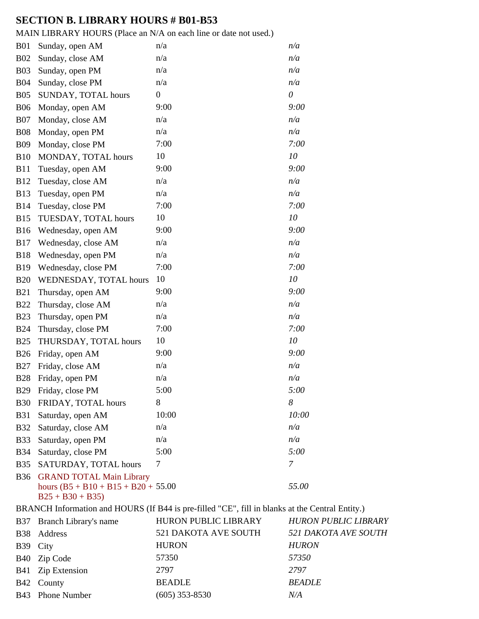# **SECTION B. LIBRARY HOURS # B01-B53**

MAIN LIBRARY HOURS (Place an N/A on each line or date not used.)

| <b>B01</b>  | Sunday, open AM                                             | n/a                                                                              | n/a      |
|-------------|-------------------------------------------------------------|----------------------------------------------------------------------------------|----------|
| <b>B02</b>  | Sunday, close AM                                            | n/a                                                                              | n/a      |
| <b>B03</b>  | Sunday, open PM                                             | n/a                                                                              | n/a      |
| <b>B04</b>  | Sunday, close PM                                            | n/a                                                                              | n/a      |
| <b>B05</b>  | SUNDAY, TOTAL hours                                         | $\boldsymbol{0}$                                                                 | $\theta$ |
| <b>B06</b>  | Monday, open AM                                             | 9:00                                                                             | 9:00     |
| <b>B07</b>  | Monday, close AM                                            | n/a                                                                              | n/a      |
| <b>B08</b>  | Monday, open PM                                             | n/a                                                                              | n/a      |
| <b>B09</b>  | Monday, close PM                                            | 7:00                                                                             | 7:00     |
| <b>B10</b>  | MONDAY, TOTAL hours                                         | 10                                                                               | 10       |
| <b>B11</b>  | Tuesday, open AM                                            | 9:00                                                                             | 9:00     |
| <b>B12</b>  | Tuesday, close AM                                           | n/a                                                                              | n/a      |
| <b>B13</b>  | Tuesday, open PM                                            | n/a                                                                              | n/a      |
| <b>B14</b>  | Tuesday, close PM                                           | 7:00                                                                             | 7:00     |
| <b>B15</b>  | TUESDAY, TOTAL hours                                        | 10                                                                               | 10       |
| <b>B16</b>  | Wednesday, open AM                                          | 9:00                                                                             | 9:00     |
| <b>B17</b>  | Wednesday, close AM                                         | n/a                                                                              | n/a      |
| <b>B18</b>  | Wednesday, open PM                                          | n/a                                                                              | n/a      |
| <b>B</b> 19 | Wednesday, close PM                                         | 7:00                                                                             | 7:00     |
| <b>B20</b>  | WEDNESDAY, TOTAL hours                                      | 10                                                                               | 10       |
| <b>B21</b>  | Thursday, open AM                                           | 9:00                                                                             | 9:00     |
| <b>B22</b>  | Thursday, close AM                                          | n/a                                                                              | n/a      |
| <b>B23</b>  | Thursday, open PM                                           | n/a                                                                              | n/a      |
| <b>B24</b>  | Thursday, close PM                                          | 7:00                                                                             | 7:00     |
| <b>B25</b>  | THURSDAY, TOTAL hours                                       | 10                                                                               | 10       |
| <b>B26</b>  | Friday, open AM                                             | 9:00                                                                             | 9:00     |
| <b>B27</b>  | Friday, close AM                                            | n/a                                                                              | n/a      |
| <b>B28</b>  | Friday, open PM                                             | n/a                                                                              | n/a      |
| <b>B29</b>  | Friday, close PM                                            | 5:00                                                                             | 5:00     |
| <b>B30</b>  | FRIDAY, TOTAL hours                                         | 8                                                                                | 8        |
| <b>B31</b>  | Saturday, open AM                                           | 10:00                                                                            | 10:00    |
| <b>B32</b>  | Saturday, close AM                                          | n/a                                                                              | n/a      |
| <b>B33</b>  | Saturday, open PM                                           | n/a                                                                              | n/a      |
| <b>B34</b>  | Saturday, close PM                                          | 5:00                                                                             | 5:00     |
| <b>B35</b>  | SATURDAY, TOTAL hours                                       | 7                                                                                | 7        |
| <b>B36</b>  | <b>GRAND TOTAL Main Library</b>                             |                                                                                  |          |
|             | hours $(B5 + B10 + B15 + B20 + 55.00)$<br>$B25 + B30 + B35$ |                                                                                  | 55.00    |
|             |                                                             | BRANCH Information and HOURS (If B44 is pre-filled "CE", fill in blanks at the C |          |

| BRANCH Information and HOURS (If B44 is pre-filled "CE", fill in blanks at the Central Entity.) |                           |                      |                             |  |
|-------------------------------------------------------------------------------------------------|---------------------------|----------------------|-----------------------------|--|
|                                                                                                 | B37 Branch Library's name | HURON PUBLIC LIBRARY | <b>HURON PUBLIC LIBRARY</b> |  |
|                                                                                                 | B38 Address               | 521 DAKOTA AVE SOUTH | 521 DAKOTA AVE SOUTH        |  |
| B39 City                                                                                        |                           | <b>HURON</b>         | <b>HURON</b>                |  |
|                                                                                                 | B40 Zip Code              | 57350                | 57350                       |  |
|                                                                                                 | B41 Zip Extension         | 2797                 | 2797                        |  |
|                                                                                                 | B42 County                | <b>BEADLE</b>        | <b>BEADLE</b>               |  |
|                                                                                                 | B43 Phone Number          | $(605)$ 353-8530     | N/A                         |  |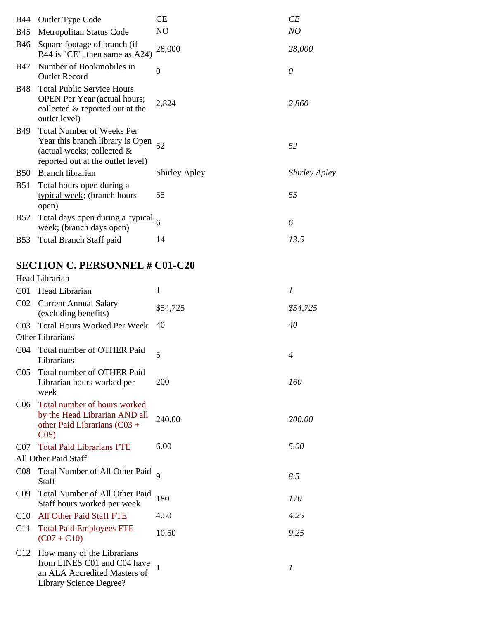| <b>B</b> 44 | <b>Outlet Type Code</b>                                                                                                                    | <b>CE</b>            | CE                   |
|-------------|--------------------------------------------------------------------------------------------------------------------------------------------|----------------------|----------------------|
| <b>B</b> 45 | Metropolitan Status Code                                                                                                                   | N <sub>O</sub>       | NO                   |
|             | B46 Square footage of branch (if<br>B44 is "CE", then same as $A24$ )                                                                      | 28,000               | 28,000               |
| <b>B</b> 47 | Number of Bookmobiles in<br><b>Outlet Record</b>                                                                                           | $\theta$             | 0                    |
| <b>B</b> 48 | <b>Total Public Service Hours</b><br><b>OPEN</b> Per Year (actual hours;<br>collected & reported out at the<br>outlet level)               | 2,824                | 2,860                |
| B49         | <b>Total Number of Weeks Per</b><br>Year this branch library is Open<br>(actual weeks; collected $\&$<br>reported out at the outlet level) | 52                   | 52                   |
| <b>B50</b>  | Branch librarian                                                                                                                           | <b>Shirley Apley</b> | <b>Shirley Apley</b> |
| <b>B51</b>  | Total hours open during a<br>typical week; (branch hours<br>open)                                                                          | 55                   | 55                   |
| <b>B52</b>  | Total days open during a typical 6<br>week; (branch days open)                                                                             |                      | 6                    |
| <b>B53</b>  | <b>Total Branch Staff paid</b>                                                                                                             | 14                   | 13.5                 |

# **SECTION C. PERSONNEL # C01-C20**

|                 | Head Librarian                                                                                                       |          |                  |  |  |
|-----------------|----------------------------------------------------------------------------------------------------------------------|----------|------------------|--|--|
| C <sub>01</sub> | Head Librarian                                                                                                       | 1        | $\boldsymbol{l}$ |  |  |
| CO <sub>2</sub> | <b>Current Annual Salary</b><br>(excluding benefits)                                                                 | \$54,725 | \$54,725         |  |  |
| CO <sub>3</sub> | <b>Total Hours Worked Per Week</b>                                                                                   | 40       | 40               |  |  |
|                 | <b>Other Librarians</b>                                                                                              |          |                  |  |  |
| C <sub>04</sub> | Total number of OTHER Paid<br>Librarians                                                                             | 5        | $\overline{4}$   |  |  |
| C <sub>05</sub> | Total number of OTHER Paid<br>Librarian hours worked per<br>week                                                     | 200      | 160              |  |  |
| C06             | Total number of hours worked<br>by the Head Librarian AND all<br>other Paid Librarians (C03 +<br>CO <sub>5</sub>     | 240.00   | 200.00           |  |  |
| C07             | <b>Total Paid Librarians FTE</b>                                                                                     | 6.00     | 5.00             |  |  |
|                 | All Other Paid Staff                                                                                                 |          |                  |  |  |
| C <sub>08</sub> | Total Number of All Other Paid 9<br>Staff                                                                            |          | 8.5              |  |  |
| C <sub>09</sub> | Total Number of All Other Paid<br>Staff hours worked per week                                                        | 180      | 170              |  |  |
| C10             | <b>All Other Paid Staff FTE</b>                                                                                      | 4.50     | 4.25             |  |  |
| C11             | <b>Total Paid Employees FTE</b><br>$(C07 + C10)$                                                                     | 10.50    | 9.25             |  |  |
| C12             | How many of the Librarians<br>from LINES C01 and C04 have<br>an ALA Accredited Masters of<br>Library Science Degree? | 1        | $\boldsymbol{l}$ |  |  |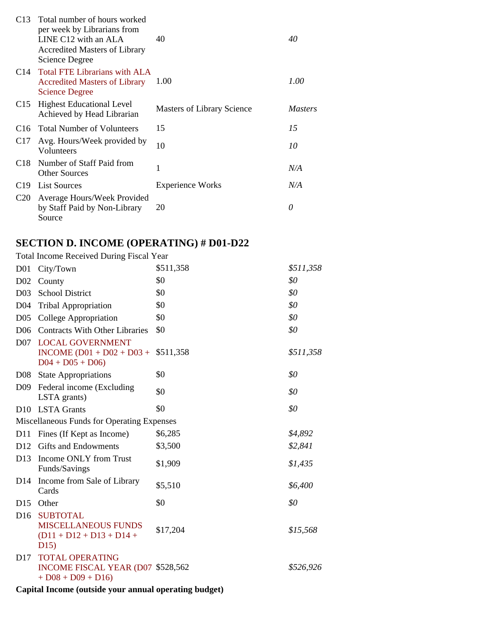|                 | C13 Total number of hours worked<br>per week by Librarians from<br>LINE $C12$ with an ALA<br>Accredited Masters of Library<br>Science Degree | 40                                | 40             |
|-----------------|----------------------------------------------------------------------------------------------------------------------------------------------|-----------------------------------|----------------|
|                 | C <sub>14</sub> Total FTE Librarians with ALA<br><b>Accredited Masters of Library</b><br><b>Science Degree</b>                               | 1.00                              | 1.00           |
| C <sub>15</sub> | <b>Highest Educational Level</b><br>Achieved by Head Librarian                                                                               | <b>Masters of Library Science</b> | <i>Masters</i> |
|                 | C <sub>16</sub> Total Number of Volunteers                                                                                                   | 15                                | 15             |
| C <sub>17</sub> | Avg. Hours/Week provided by<br>Volunteers                                                                                                    | 10                                | 10             |
| C <sub>18</sub> | Number of Staff Paid from<br><b>Other Sources</b>                                                                                            | 1                                 | N/A            |
| C19.            | <b>List Sources</b>                                                                                                                          | <b>Experience Works</b>           | N/A            |
| C <sub>20</sub> | Average Hours/Week Provided<br>by Staff Paid by Non-Library<br>Source                                                                        | 20                                | 0              |

# **SECTION D. INCOME (OPERATING) # D01-D22**

Total Income Received During Fiscal Year

| D <sub>01</sub>  | City/Town                                                                          | \$511,358 | \$511,358 |
|------------------|------------------------------------------------------------------------------------|-----------|-----------|
| D <sub>0</sub> 2 | County                                                                             | \$0       | \$0       |
| D <sub>03</sub>  | <b>School District</b>                                                             | \$0       | \$0       |
| D <sub>04</sub>  | <b>Tribal Appropriation</b>                                                        | \$0       | \$0       |
| D <sub>05</sub>  | College Appropriation                                                              | \$0       | \$0       |
| D <sub>06</sub>  | <b>Contracts With Other Libraries</b>                                              | \$0       | \$0       |
| D <sub>07</sub>  | <b>LOCAL GOVERNMENT</b><br>INCOME $(D01 + D02 + D03 +$<br>$D04 + D05 + D06$        | \$511,358 | \$511,358 |
| D08              | <b>State Appropriations</b>                                                        | \$0       | \$0       |
| D <sub>09</sub>  | Federal income (Excluding<br>LSTA grants)                                          | \$0       | \$0       |
| D <sub>10</sub>  | <b>LSTA Grants</b>                                                                 | \$0       | \$0       |
|                  | Miscellaneous Funds for Operating Expenses                                         |           |           |
| D11              | Fines (If Kept as Income)                                                          | \$6,285   | \$4,892   |
| D <sub>12</sub>  | <b>Gifts and Endowments</b>                                                        | \$3,500   | \$2,841   |
| D <sub>13</sub>  | Income ONLY from Trust<br>Funds/Savings                                            | \$1,909   | \$1,435   |
| D14              | Income from Sale of Library<br>Cards                                               | \$5,510   | \$6,400   |
| D15              | Other                                                                              | \$0       | \$0       |
| D <sub>16</sub>  | <b>SUBTOTAL</b><br><b>MISCELLANEOUS FUNDS</b><br>$(D11 + D12 + D13 + D14 +$<br>D15 | \$17,204  | \$15,568  |
| D17              | <b>TOTAL OPERATING</b><br>INCOME FISCAL YEAR (D07 \$528,562)<br>$+D08 + D09 + D16$ |           | \$526,926 |

**Capital Income (outside your annual operating budget)**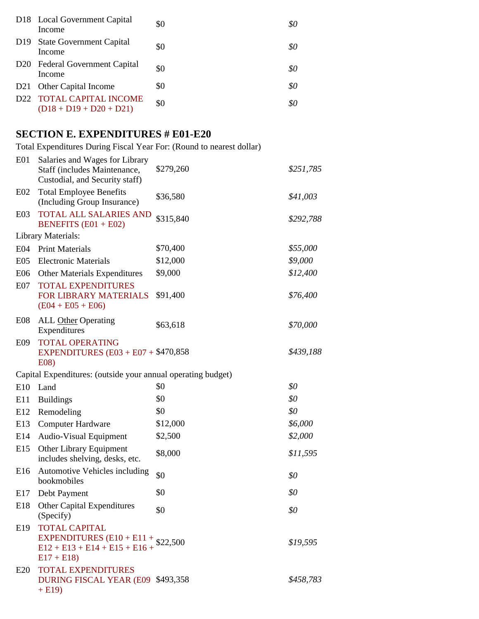| D18 Local Government Capital<br>Income                | \$0 | \$0 |
|-------------------------------------------------------|-----|-----|
| D19 State Government Capital<br>Income                | \$0 | 80  |
| D <sub>20</sub> Federal Government Capital<br>Income  | \$0 | \$0 |
| D21 Other Capital Income                              | \$0 | \$0 |
| D22 TOTAL CAPITAL INCOME<br>$(D18 + D19 + D20 + D21)$ | \$0 | 80  |
|                                                       |     |     |

# **SECTION E. EXPENDITURES # E01-E20**

Total Expenditures During Fiscal Year For: (Round to nearest dollar)

| E01              | Salaries and Wages for Library<br>Staff (includes Maintenance,<br>Custodial, and Security staff)            | \$279,260 | \$251,785 |
|------------------|-------------------------------------------------------------------------------------------------------------|-----------|-----------|
| E02              | <b>Total Employee Benefits</b><br>(Including Group Insurance)                                               | \$36,580  | \$41,003  |
| E <sub>0</sub> 3 | TOTAL ALL SALARIES AND<br><b>BENEFITS</b> $(E01 + E02)$                                                     | \$315,840 | \$292,788 |
|                  | Library Materials:                                                                                          |           |           |
|                  | E04 Print Materials                                                                                         | \$70,400  | \$55,000  |
| E <sub>05</sub>  | <b>Electronic Materials</b>                                                                                 | \$12,000  | \$9,000   |
| E06              | <b>Other Materials Expenditures</b>                                                                         | \$9,000   | \$12,400  |
| E <sub>07</sub>  | <b>TOTAL EXPENDITURES</b><br>FOR LIBRARY MATERIALS<br>$(E04 + E05 + E06)$                                   | \$91,400  | \$76,400  |
| E08              | <b>ALL</b> Other Operating<br>Expenditures                                                                  | \$63,618  | \$70,000  |
| E09              | <b>TOTAL OPERATING</b><br>EXPENDITURES $(E03 + E07 + $470,858)$<br>E08)                                     |           | \$439,188 |
|                  | Capital Expenditures: (outside your annual operating budget)                                                |           |           |
| E10              | Land                                                                                                        | \$0       | \$0       |
| E11              | <b>Buildings</b>                                                                                            | \$0       | \$0       |
| E12              | Remodeling                                                                                                  | \$0       | \$0       |
| E13              | <b>Computer Hardware</b>                                                                                    | \$12,000  | \$6,000   |
| E14              | <b>Audio-Visual Equipment</b>                                                                               | \$2,500   | \$2,000   |
| E15              | Other Library Equipment<br>includes shelving, desks, etc.                                                   | \$8,000   | \$11,595  |
| E <sub>16</sub>  | Automotive Vehicles including<br>bookmobiles                                                                | \$0       | \$0       |
| E17              | Debt Payment                                                                                                | \$0       | \$0       |
|                  | E18 Other Capital Expenditures<br>(Specify)                                                                 | \$0       | \$0       |
| E19              | <b>TOTAL CAPITAL</b><br>EXPENDITURES (E10 + E11 + $$22,500$<br>E12 + E13 + E14 + E15 + E16 +<br>$E17 + E18$ |           | \$19,595  |
| E20              | <b>TOTAL EXPENDITURES</b><br>DURING FISCAL YEAR (E09 \$493,358)<br>$+ E19$                                  |           | \$458,783 |
|                  |                                                                                                             |           |           |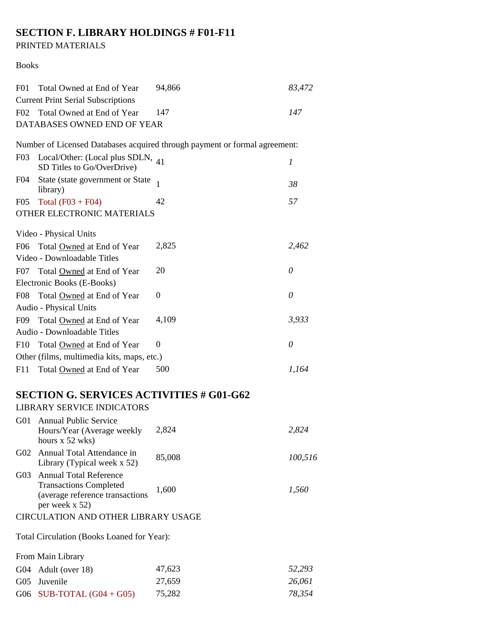# **SECTION F. LIBRARY HOLDINGS # F01-F11**

#### PRINTED MATERIALS

#### Books

| F <sub>01</sub> | Total Owned at End of Year                                                                                          | 94,866                                                                     | 83,472   |
|-----------------|---------------------------------------------------------------------------------------------------------------------|----------------------------------------------------------------------------|----------|
|                 | <b>Current Print Serial Subscriptions</b>                                                                           |                                                                            |          |
|                 | F02 Total Owned at End of Year                                                                                      | 147                                                                        | 147      |
|                 | DATABASES OWNED END OF YEAR                                                                                         |                                                                            |          |
|                 |                                                                                                                     | Number of Licensed Databases acquired through payment or formal agreement: |          |
| F03             | Local/Other: (Local plus SDLN, 41<br>SD Titles to Go/OverDrive)                                                     |                                                                            | 1        |
| F <sub>04</sub> | State (state government or State<br>library)                                                                        | $\mathbf{1}$                                                               | 38       |
| F <sub>05</sub> | Total $(F03 + F04)$                                                                                                 | 42                                                                         | 57       |
|                 | OTHER ELECTRONIC MATERIALS                                                                                          |                                                                            |          |
|                 | Video - Physical Units                                                                                              |                                                                            |          |
| F <sub>06</sub> | Total Owned at End of Year                                                                                          | 2,825                                                                      | 2,462    |
|                 | Video - Downloadable Titles                                                                                         |                                                                            |          |
| F07             | Total Owned at End of Year                                                                                          | 20                                                                         | $\theta$ |
|                 | Electronic Books (E-Books)                                                                                          |                                                                            |          |
| F <sub>08</sub> | Total Owned at End of Year                                                                                          | $\Omega$                                                                   | $\theta$ |
|                 | Audio - Physical Units                                                                                              |                                                                            |          |
| F09             | Total Owned at End of Year                                                                                          | 4,109                                                                      | 3,933    |
|                 | Audio - Downloadable Titles                                                                                         |                                                                            |          |
| F10             | Total Owned at End of Year                                                                                          | $^{(1)}$                                                                   | 0        |
|                 | Other (films, multimedia kits, maps, etc.)                                                                          |                                                                            |          |
|                 |                                                                                                                     | 500                                                                        | 1,164    |
| F11             | Total Owned at End of Year                                                                                          |                                                                            |          |
|                 | <b>SECTION G. SERVICES ACTIVITIES # G01-G62</b>                                                                     |                                                                            |          |
|                 | <b>LIBRARY SERVICE INDICATORS</b>                                                                                   |                                                                            |          |
|                 | G01 Annual Public Service                                                                                           |                                                                            |          |
|                 | Hours/Year (Average weekly<br>hours $x 52$ wks)                                                                     | 2,824                                                                      | 2,824    |
| G02             | Annual Total Attendance in<br>Library (Typical week x 52)                                                           | 85,008                                                                     | 100,516  |
| G <sub>03</sub> | <b>Annual Total Reference</b><br><b>Transactions Completed</b><br>(average reference transactions<br>per week x 52) | 1,600                                                                      | 1,560    |
|                 | CIRCULATION AND OTHER LIBRARY USAGE                                                                                 |                                                                            |          |
|                 | Total Circulation (Books Loaned for Year):                                                                          |                                                                            |          |
|                 | From Main Library                                                                                                   |                                                                            |          |
| G04             | Adult (over 18)                                                                                                     | 47,623                                                                     | 52,293   |
| $G_{05}$        | Juvenile                                                                                                            | 27,659                                                                     | 26,061   |
|                 | G06 SUB-TOTAL $(G04 + G05)$                                                                                         | 75,282                                                                     | 78,354   |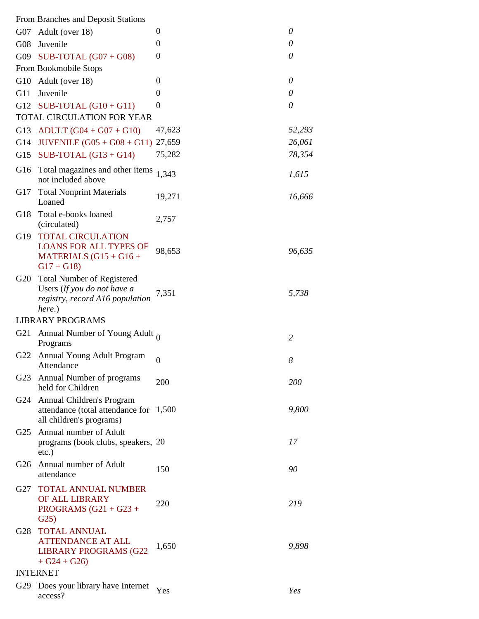|     | From Branches and Deposit Stations                                                                            |                |          |
|-----|---------------------------------------------------------------------------------------------------------------|----------------|----------|
|     | G07 Adult (over 18)                                                                                           | 0              | 0        |
| G08 | Juvenile                                                                                                      | $\overline{0}$ | $\theta$ |
|     | G09 SUB-TOTAL $(G07 + G08)$                                                                                   | $\overline{0}$ | 0        |
|     | From Bookmobile Stops                                                                                         |                |          |
| G10 | Adult (over 18)                                                                                               | $\Omega$       | 0        |
| G11 | Juvenile                                                                                                      | $\theta$       | 0        |
| G12 | SUB-TOTAL $(G10 + G11)$                                                                                       | $\theta$       | 0        |
|     | TOTAL CIRCULATION FOR YEAR                                                                                    |                |          |
| G13 | $ADULT (G04 + G07 + G10)$                                                                                     | 47,623         | 52,293   |
| G14 | JUVENILE $(G05 + G08 + G11)$                                                                                  | 27,659         | 26,061   |
| G15 | SUB-TOTAL $(G13 + G14)$                                                                                       | 75,282         | 78,354   |
| G16 | Total magazines and other items<br>not included above                                                         | 1,343          | 1,615    |
| G17 | <b>Total Nonprint Materials</b><br>Loaned                                                                     | 19,271         | 16,666   |
| G18 | Total e-books loaned<br>(circulated)                                                                          | 2,757          |          |
| G19 | <b>TOTAL CIRCULATION</b><br><b>LOANS FOR ALL TYPES OF</b><br>MATERIALS $(G15 + G16 +$<br>$G17 + G18$          | 98,653         | 96,635   |
| G20 | <b>Total Number of Registered</b><br>Users (If you do not have a<br>registry, record A16 population<br>here.) | 7,351          | 5,738    |
|     | <b>LIBRARY PROGRAMS</b>                                                                                       |                |          |
|     |                                                                                                               |                |          |
| G21 | Annual Number of Young Adult $_0$<br>Programs                                                                 |                | 2        |
| G22 | <b>Annual Young Adult Program</b><br>Attendance                                                               | $\mathbf{0}$   | 8        |
|     | G23 Annual Number of programs<br>held for Children                                                            | 200            | 200      |
| G24 | Annual Children's Program<br>attendance (total attendance for<br>all children's programs)                     | 1,500          | 9,800    |
| G25 | Annual number of Adult<br>programs (book clubs, speakers, 20<br>$etc.$ )                                      |                | 17       |
|     | G26 Annual number of Adult<br>attendance                                                                      | 150            | 90       |
| G27 | <b>TOTAL ANNUAL NUMBER</b><br>OF ALL LIBRARY<br>PROGRAMS $(G21 + G23 +$<br>G25)                               | 220            | 219      |
| G28 | <b>TOTAL ANNUAL</b><br><b>ATTENDANCE AT ALL</b><br><b>LIBRARY PROGRAMS (G22</b><br>$+ G24 + G26$              | 1,650          | 9,898    |
| G29 | <b>INTERNET</b><br>Does your library have Internet                                                            |                |          |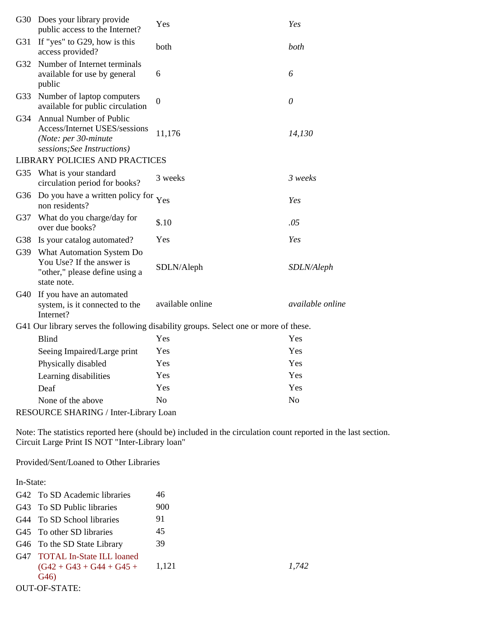|     | G30 Does your library provide<br>public access to the Internet?                                                  | Yes                                                                                  | Yes                     |
|-----|------------------------------------------------------------------------------------------------------------------|--------------------------------------------------------------------------------------|-------------------------|
| G31 | If "yes" to G29, how is this<br>access provided?                                                                 | both                                                                                 | both                    |
| G32 | Number of Internet terminals<br>available for use by general<br>public                                           | 6                                                                                    | 6                       |
| G33 | Number of laptop computers<br>available for public circulation                                                   | $\mathbf{0}$                                                                         | 0                       |
| G34 | Annual Number of Public<br>Access/Internet USES/sessions<br>(Note: per 30-minute)<br>sessions; See Instructions) | 11,176                                                                               | 14,130                  |
|     | <b>LIBRARY POLICIES AND PRACTICES</b>                                                                            |                                                                                      |                         |
| G35 | What is your standard<br>circulation period for books?                                                           | 3 weeks                                                                              | 3 weeks                 |
| G36 | Do you have a written policy for<br>non residents?                                                               | Yes                                                                                  | Yes                     |
| G37 | What do you charge/day for<br>over due books?                                                                    | \$.10                                                                                | .05                     |
| G38 | Is your catalog automated?                                                                                       | Yes                                                                                  | Yes                     |
| G39 | What Automation System Do<br>You Use? If the answer is<br>"other," please define using a<br>state note.          | SDLN/Aleph                                                                           | SDLN/Aleph              |
| G40 | If you have an automated<br>system, is it connected to the<br>Internet?                                          | available online                                                                     | <i>available online</i> |
|     |                                                                                                                  | G41 Our library serves the following disability groups. Select one or more of these. |                         |
|     | <b>Blind</b>                                                                                                     | Yes                                                                                  | Yes                     |
|     | Seeing Impaired/Large print                                                                                      | Yes                                                                                  | Yes                     |
|     | Physically disabled                                                                                              | Yes                                                                                  | Yes                     |
|     | Learning disabilities                                                                                            | Yes                                                                                  | Yes                     |
|     | Deaf                                                                                                             | Yes                                                                                  | Yes                     |
|     | None of the above                                                                                                | N <sub>o</sub>                                                                       | N <sub>o</sub>          |
|     | RESOURCE SHARING / Inter-Library Loan                                                                            |                                                                                      |                         |

Note: The statistics reported here (should be) included in the circulation count reported in the last section. Circuit Large Print IS NOT "Inter-Library loan"

Provided/Sent/Loaned to Other Libraries

In-State:

|     | G42 To SD Academic libraries                                                      | 46    |       |
|-----|-----------------------------------------------------------------------------------|-------|-------|
|     | G43 To SD Public libraries                                                        | 900   |       |
|     | G44 To SD School libraries                                                        | 91    |       |
|     | G45 To other SD libraries                                                         | 45    |       |
|     | G46 To the SD State Library                                                       | 39    |       |
| G47 | <b>TOTAL In-State ILL loaned</b><br>$(G42 + G43 + G44 + G45 +$<br>G <sub>46</sub> | 1,121 | 1.742 |
|     | <b>OUT-OF-STATE:</b>                                                              |       |       |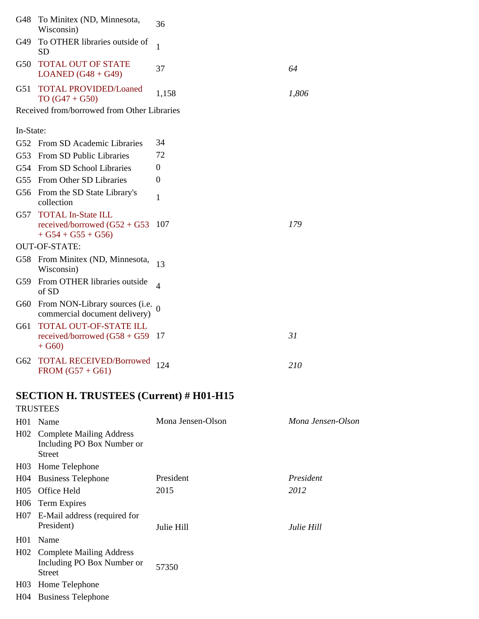|                 | G48 To Minitex (ND, Minnesota,<br>Wisconsin)                                        | 36                |                   |
|-----------------|-------------------------------------------------------------------------------------|-------------------|-------------------|
| G49             | To OTHER libraries outside of<br><b>SD</b>                                          | $\mathbf{1}$      |                   |
| G50             | <b>TOTAL OUT OF STATE</b><br>LOANED $(G48 + G49)$                                   | 37                | 64                |
| G51             | <b>TOTAL PROVIDED/Loaned</b><br>$TO (G47 + G50)$                                    | 1,158             | 1,806             |
|                 | Received from/borrowed from Other Libraries                                         |                   |                   |
| In-State:       |                                                                                     |                   |                   |
| G <sub>52</sub> | <b>From SD Academic Libraries</b>                                                   | 34                |                   |
| G <sub>53</sub> | From SD Public Libraries                                                            | 72                |                   |
| G <sub>54</sub> | From SD School Libraries                                                            | 0                 |                   |
| G <sub>55</sub> | From Other SD Libraries                                                             | $\theta$          |                   |
| G56             | From the SD State Library's<br>collection                                           | 1                 |                   |
| G57             | <b>TOTAL In-State ILL</b><br>received/borrowed $(G52 + G53)$<br>$+ G54 + G55 + G56$ | 107               | 179               |
|                 | <b>OUT-OF-STATE:</b>                                                                |                   |                   |
|                 | G58 From Minitex (ND, Minnesota,<br>Wisconsin)                                      | 13                |                   |
| G59             | From OTHER libraries outside<br>of SD                                               | $\overline{4}$    |                   |
| G60             | From NON-Library sources (i.e. $_0$<br>commercial document delivery)                |                   |                   |
| G61             | <b>TOTAL OUT-OF-STATE ILL</b><br>received/borrowed $(G58 + G59)$<br>$+ G60$         | -17               | 31                |
| G62             | <b>TOTAL RECEIVED/Borrowed</b><br>$FROM (G57 + G61)$                                | 124               | 210               |
|                 | <b>SECTION H. TRUSTEES (Current) # H01-H15</b>                                      |                   |                   |
|                 | <b>TRUSTEES</b>                                                                     |                   |                   |
| H <sub>01</sub> | Name                                                                                | Mona Jensen-Olson | Mona Jensen-Olson |
| H <sub>02</sub> | <b>Complete Mailing Address</b><br>Including PO Box Number or<br><b>Street</b>      |                   |                   |
|                 | H03 Home Telephone                                                                  |                   |                   |
|                 | H04 Business Telephone                                                              | President         | President         |
| H <sub>05</sub> | Office Held                                                                         | 2015              | 2012              |
|                 | H06 Term Expires                                                                    |                   |                   |
| H <sub>07</sub> | E-Mail address (required for<br>President)                                          | Julie Hill        | Julie Hill        |
| H <sub>01</sub> | Name                                                                                |                   |                   |
| H <sub>02</sub> | <b>Complete Mailing Address</b><br>Including PO Box Number or<br><b>Street</b>      | 57350             |                   |
| H <sub>03</sub> | Home Telephone                                                                      |                   |                   |
|                 | H04 Business Telephone                                                              |                   |                   |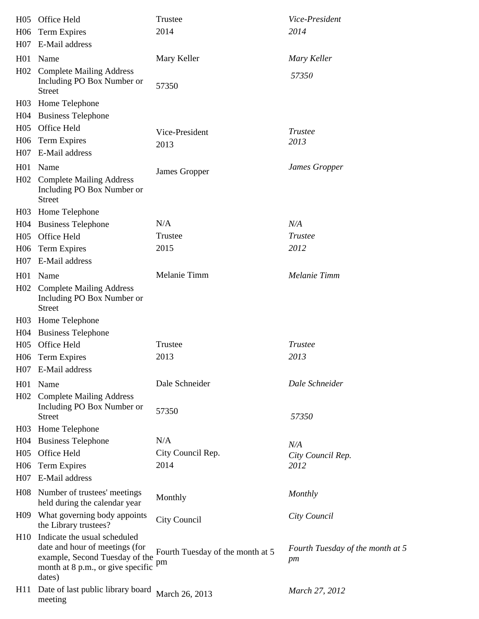| H <sub>05</sub>  | Office Held                                                                                                                                     | Trustee                                           | Vice-President                         |
|------------------|-------------------------------------------------------------------------------------------------------------------------------------------------|---------------------------------------------------|----------------------------------------|
| H <sub>06</sub>  | <b>Term Expires</b>                                                                                                                             | 2014                                              | 2014                                   |
| H <sub>07</sub>  | E-Mail address                                                                                                                                  |                                                   |                                        |
| H <sub>01</sub>  | Name                                                                                                                                            | Mary Keller                                       | Mary Keller                            |
| H <sub>02</sub>  | <b>Complete Mailing Address</b><br>Including PO Box Number or<br><b>Street</b>                                                                  | 57350                                             | 57350                                  |
| H <sub>03</sub>  | Home Telephone                                                                                                                                  |                                                   |                                        |
| H <sub>04</sub>  | <b>Business Telephone</b>                                                                                                                       |                                                   |                                        |
| H <sub>05</sub>  | Office Held                                                                                                                                     | Vice-President                                    | <b>Trustee</b>                         |
| H <sub>06</sub>  | Term Expires                                                                                                                                    | 2013                                              | 2013                                   |
| H <sub>07</sub>  | E-Mail address                                                                                                                                  |                                                   |                                        |
| H <sub>01</sub>  | Name                                                                                                                                            | James Gropper                                     | James Gropper                          |
| H <sub>02</sub>  | <b>Complete Mailing Address</b><br>Including PO Box Number or<br><b>Street</b>                                                                  |                                                   |                                        |
| H <sub>03</sub>  | Home Telephone                                                                                                                                  |                                                   |                                        |
| H <sub>04</sub>  | <b>Business Telephone</b>                                                                                                                       | N/A                                               | N/A                                    |
| H <sub>05</sub>  | Office Held                                                                                                                                     | Trustee                                           | <b>Trustee</b>                         |
| H <sub>06</sub>  | Term Expires                                                                                                                                    | 2015                                              | 2012                                   |
| H <sub>07</sub>  | E-Mail address                                                                                                                                  |                                                   |                                        |
| H <sub>01</sub>  | Name                                                                                                                                            | Melanie Timm                                      | Melanie Timm                           |
| H <sub>02</sub>  | <b>Complete Mailing Address</b><br>Including PO Box Number or<br><b>Street</b>                                                                  |                                                   |                                        |
| H <sub>03</sub>  | Home Telephone                                                                                                                                  |                                                   |                                        |
| H <sub>0</sub> 4 | <b>Business Telephone</b>                                                                                                                       |                                                   |                                        |
| H <sub>05</sub>  | Office Held                                                                                                                                     | Trustee                                           | Trustee                                |
| H <sub>06</sub>  | Term Expires                                                                                                                                    | 2013                                              | 2013                                   |
|                  | H07 E-Mail address                                                                                                                              |                                                   |                                        |
| H <sub>01</sub>  | Name                                                                                                                                            | Dale Schneider                                    | Dale Schneider                         |
| H <sub>02</sub>  | <b>Complete Mailing Address</b><br>Including PO Box Number or<br><b>Street</b>                                                                  | 57350                                             | 57350                                  |
| H <sub>03</sub>  | Home Telephone                                                                                                                                  |                                                   |                                        |
| H <sub>0</sub> 4 | <b>Business Telephone</b>                                                                                                                       | N/A                                               | N/A                                    |
| H <sub>05</sub>  | Office Held                                                                                                                                     | City Council Rep.                                 | City Council Rep.                      |
| H <sub>06</sub>  | <b>Term Expires</b>                                                                                                                             | 2014                                              | 2012                                   |
| H <sub>0</sub> 7 | E-Mail address                                                                                                                                  |                                                   |                                        |
| H08              | Number of trustees' meetings<br>held during the calendar year                                                                                   | Monthly                                           | Monthly                                |
|                  | H09 What governing body appoints<br>the Library trustees?                                                                                       | City Council                                      | City Council                           |
| H10              | Indicate the usual scheduled<br>date and hour of meetings (for<br>example, Second Tuesday of the<br>month at 8 p.m., or give specific<br>dates) | Fourth Tuesday of the month at 5<br>$\, {\rm pm}$ | Fourth Tuesday of the month at 5<br>pm |
| H11              | Date of last public library board<br>meeting                                                                                                    | March 26, 2013                                    | March 27, 2012                         |